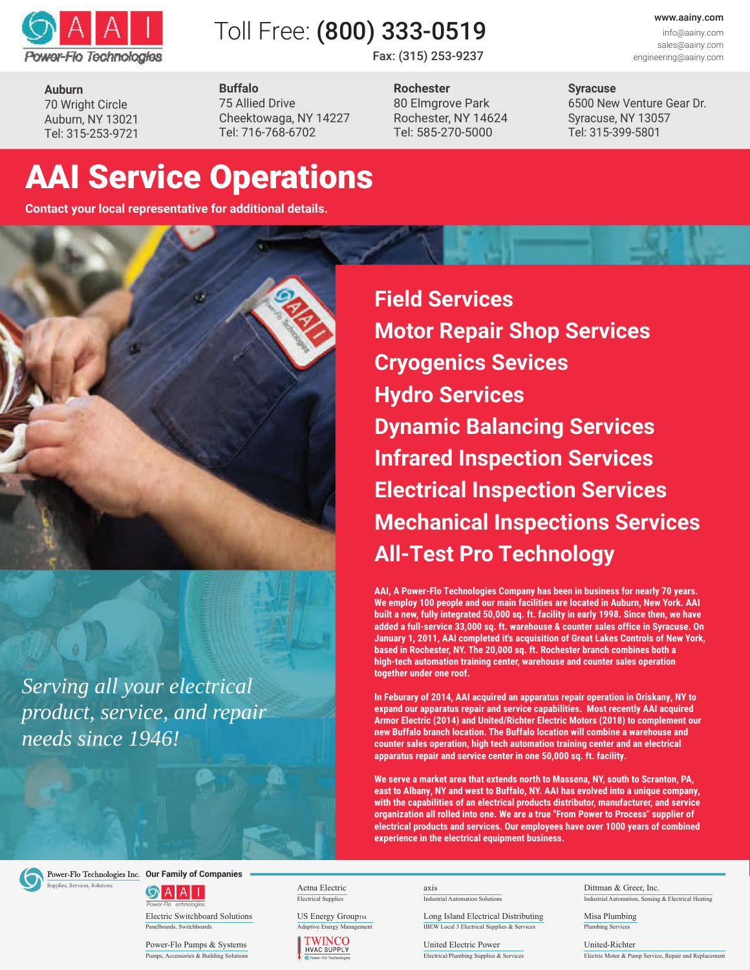

# Toll Free: (800) 333-0519

Fax: (315) 253-9237

www.aainy.com info@aainy.com sales@aainy.com

engineering@aainy.com

**Syracuse** 6500 New Venture Gear Dr. Syracuse, NY 13057

Tel: 315-399-5801

**Auburn** 70 Wright Circle Auburn, NY 13021 Tel: 315-253-9721 **Buffalo** 75 Allied Drive Cheektowaga, NY 14227 Tel: 716-768-6702

**Rochester** 80 Elmgrove Park Rochester, NY 14624 Tel: 585-270-5000

# AAI Service Operations

**Contact your local representative for additional details.**



*Serving all your electrical product, service, and repair needs since 1946!*

**Field Services Motor Repair Shop Services Cryogenics Sevices Hydro Services Dynamic Balancing Services Infrared Inspection Services Electrical Inspection Services Mechanical Inspections Services All-Test Pro Technology**

**AAI, A Power-Flo Technologies Company has been in business for nearly 70 years. We employ 100 people and our main facilities are located in Auburn, New York. AAI built a new, fully integrated 50,000 sq. ft. facility in early 1998. Since then, we have added a full-service 33,000 sq. ft. warehouse & counter sales office in Syracuse. On January 1, 2011, AAI completed it's acquisition of Great Lakes Controls of New York, based in Rochester, NY. The 20,000 sq. ft. Rochester branch combines both a high-tech automation training center, warehouse and counter sales operation together under one roof.**

**In Feburary of 2014, AAI acquired an apparatus repair operation in Oriskany, NY to expand our apparatus repair and service capabilities. Most recently AAI acquired Armor Electric (2014) and United/Richter Electric Motors (2018) to complement our new Buffalo branch location. The Buffalo location will combine a warehouse and counter sales operation, high tech automation training center and an electrical apparatus repair and service center in one 50,000 sq. ft. facility.**

**We serve a market area that extends north to Massena, NY, south to Scranton, PA, east to Albany, NY and west to Buffalo, NY. AAI has evolved into a unique company, with the capabilities of an electrical products distributor, manufacturer, and service organization all rolled into one. We are a true "From Power to Process" supplier of electrical products and services. Our employees have over 1000 years of combined experience in the electrical equipment business.**



Power-Flo Technologies Inc. Our Family of Companies

 $\bigcirc$  A A  $\sqcap$ 

Electric Switchboard Solutions US Energy GroupTM Panelboards, Switchboards

Power-Flo Pumps & Systems Pumps, Accessories & Building Solution

Electrical Supplies



**Industrial Automation Solution** 

Long Island Electrical Distributing IBEW Local 3 Electrical Supplies & Services

United Electric Power Electrical/Plumbing Supplies & Services

Industrial Automation, Sensing & Electrical Heating Aetna Electric axis axis Dittman & Greer, Inc.

> Misa Plumbing Plumbing Services

United-Richter Electric Motor & Pump Service, Repair and Replacement

Adaptive Energy Management